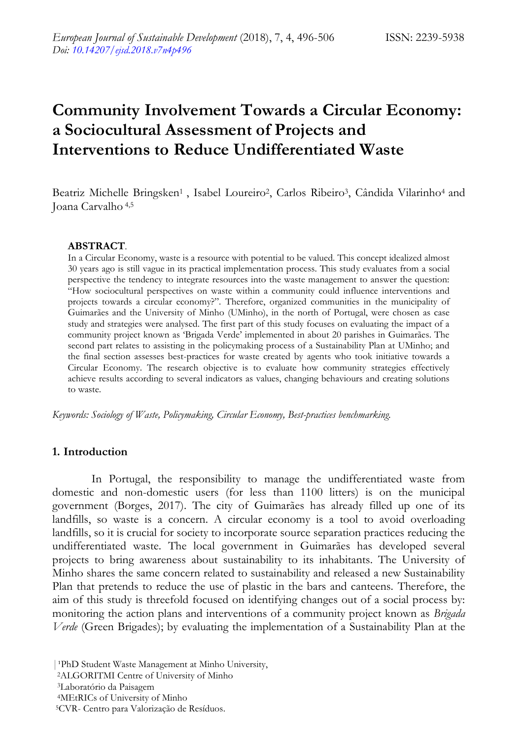# **Community Involvement Towards a Circular Economy: a Sociocultural Assessment of Projects and Interventions to Reduce Undifferentiated Waste**

Beatriz Michelle Bringsken<sup>1</sup>, Isabel Loureiro<sup>2</sup>, Carlos Ribeiro<sup>3</sup>, Cândida Vilarinho<sup>4</sup> and Joana Carvalho 4,5

#### **ABSTRACT**.

In a Circular Economy, waste is a resource with potential to be valued. This concept idealized almost 30 years ago is still vague in its practical implementation process. This study evaluates from a social perspective the tendency to integrate resources into the waste management to answer the question: ―How sociocultural perspectives on waste within a community could influence interventions and projects towards a circular economy?". Therefore, organized communities in the municipality of Guimarães and the University of Minho (UMinho), in the north of Portugal, were chosen as case study and strategies were analysed. The first part of this study focuses on evaluating the impact of a community project known as 'Brigada Verde' implemented in about 20 parishes in Guimarães. The second part relates to assisting in the policymaking process of a Sustainability Plan at UMinho; and the final section assesses best-practices for waste created by agents who took initiative towards a Circular Economy. The research objective is to evaluate how community strategies effectively achieve results according to several indicators as values, changing behaviours and creating solutions to waste.

*Keywords: Sociology of Waste, Policymaking, Circular Economy, Best-practices benchmarking.*

### **1. Introduction**

In Portugal, the responsibility to manage the undifferentiated waste from domestic and non-domestic users (for less than 1100 litters) is on the municipal government (Borges, 2017). The city of Guimarães has already filled up one of its landfills, so waste is a concern. A circular economy is a tool to avoid overloading landfills, so it is crucial for society to incorporate source separation practices reducing the undifferentiated waste. The local government in Guimarães has developed several projects to bring awareness about sustainability to its inhabitants. The University of Minho shares the same concern related to sustainability and released a new Sustainability Plan that pretends to reduce the use of plastic in the bars and canteens. Therefore, the aim of this study is threefold focused on identifying changes out of a social process by: monitoring the action plans and interventions of a community project known as *Brigada Verde* (Green Brigades); by evaluating the implementation of a Sustainability Plan at the

<sup>|</sup> PhD Student Waste Management at Minho University,

<sup>2</sup>ALGORITMI Centre of University of Minho

<sup>3</sup>Laboratório da Paisagem

<sup>4</sup>MEtRICs of University of Minho

<sup>5</sup>CVR- Centro para Valorização de Resíduos.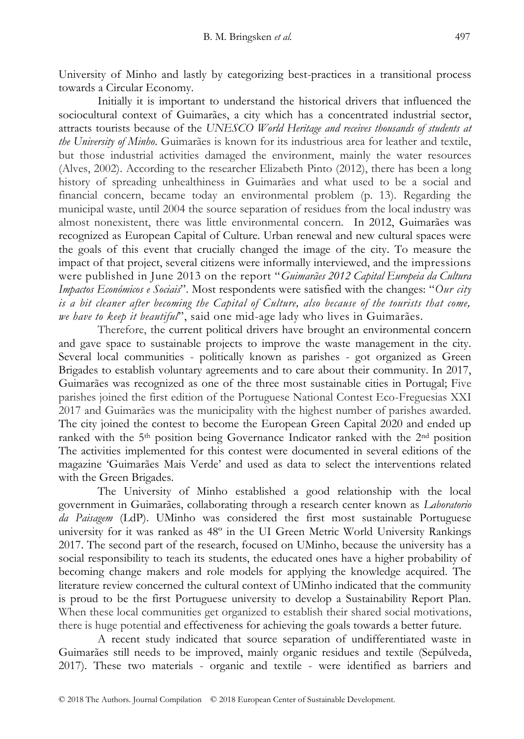University of Minho and lastly by categorizing best-practices in a transitional process towards a Circular Economy.

Initially it is important to understand the historical drivers that influenced the sociocultural context of Guimarães, a city which has a concentrated industrial sector, attracts tourists because of the *UNESCO World Heritage and receives thousands of students at the University of Minho*. Guimarães is known for its industrious area for leather and textile, but those industrial activities damaged the environment, mainly the water resources (Alves, 2002). According to the researcher Elizabeth Pinto (2012), there has been a long history of spreading unhealthiness in Guimarães and what used to be a social and financial concern, became today an environmental problem (p. 13). Regarding the municipal waste, until 2004 the source separation of residues from the local industry was almost nonexistent, there was little environmental concern. In 2012, Guimarães was recognized as European Capital of Culture. Urban renewal and new cultural spaces were the goals of this event that crucially changed the image of the city. To measure the impact of that project, several citizens were informally interviewed, and the impressions were published in June 2013 on the report "Guimarães 2012 Capital Europeia da Cultura *Impactos Económicos e Sociais*". Most respondents were satisfied with the changes: "Our city *is a bit cleaner after becoming the Capital of Culture, also because of the tourists that come, we have to keep it beautiful*", said one mid-age lady who lives in Guimarães.

Therefore, the current political drivers have brought an environmental concern and gave space to sustainable projects to improve the waste management in the city. Several local communities - politically known as parishes - got organized as Green Brigades to establish voluntary agreements and to care about their community. In 2017, Guimarães was recognized as one of the three most sustainable cities in Portugal; Five parishes joined the first edition of the Portuguese National Contest Eco-Freguesias XXI 2017 and Guimarães was the municipality with the highest number of parishes awarded. The city joined the contest to become the European Green Capital 2020 and ended up ranked with the 5<sup>th</sup> position being Governance Indicator ranked with the 2<sup>nd</sup> position The activities implemented for this contest were documented in several editions of the magazine ‗Guimarães Mais Verde' and used as data to select the interventions related with the Green Brigades.

The University of Minho established a good relationship with the local government in Guimarães, collaborating through a research center known as *Laboratorio da Paisagem* (LdP). UMinho was considered the first most sustainable Portuguese university for it was ranked as 48º in the UI Green Metric World University Rankings 2017. The second part of the research, focused on UMinho, because the university has a social responsibility to teach its students, the educated ones have a higher probability of becoming change makers and role models for applying the knowledge acquired. The literature review concerned the cultural context of UMinho indicated that the community is proud to be the first Portuguese university to develop a Sustainability Report Plan. When these local communities get organized to establish their shared social motivations, there is huge potential and effectiveness for achieving the goals towards a better future.

A recent study indicated that source separation of undifferentiated waste in Guimarães still needs to be improved, mainly organic residues and textile (Sepúlveda, 2017). These two materials - organic and textile - were identified as barriers and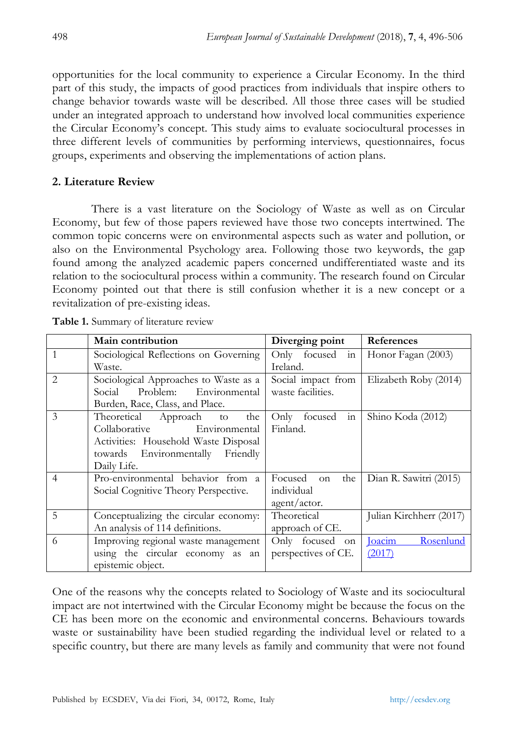opportunities for the local community to experience a Circular Economy. In the third part of this study, the impacts of good practices from individuals that inspire others to change behavior towards waste will be described. All those three cases will be studied under an integrated approach to understand how involved local communities experience the Circular Economy's concept. This study aims to evaluate sociocultural processes in three different levels of communities by performing interviews, questionnaires, focus groups, experiments and observing the implementations of action plans.

## **2. Literature Review**

There is a vast literature on the Sociology of Waste as well as on Circular Economy, but few of those papers reviewed have those two concepts intertwined. The common topic concerns were on environmental aspects such as water and pollution, or also on the Environmental Psychology area. Following those two keywords, the gap found among the analyzed academic papers concerned undifferentiated waste and its relation to the sociocultural process within a community. The research found on Circular Economy pointed out that there is still confusion whether it is a new concept or a revitalization of pre-existing ideas.

|                               | Main contribution                                                                                                                                              | Diverging point                                               | References                           |
|-------------------------------|----------------------------------------------------------------------------------------------------------------------------------------------------------------|---------------------------------------------------------------|--------------------------------------|
| 1                             | Sociological Reflections on Governing<br>Waste.                                                                                                                | Only focused in<br>Ireland.                                   | Honor Fagan (2003)                   |
| $\mathfrak{D}_{\mathfrak{p}}$ | Sociological Approaches to Waste as a<br>Problem: Environmental<br>Social<br>Burden, Race, Class, and Place.                                                   | Social impact from<br>waste facilities.                       | Elizabeth Roby (2014)                |
| 3                             | Theoretical Approach<br>the<br>to<br>Collaborative<br>Environmental<br>Activities: Household Waste Disposal<br>towards Environmentally Friendly<br>Daily Life. | Only focused<br>in<br>Finland.                                | Shino Koda (2012)                    |
| $\overline{4}$                | Pro-environmental behavior from a<br>Social Cognitive Theory Perspective.                                                                                      | Focused<br>the<br><sub>on</sub><br>individual<br>agent/actor. | Dian R. Sawitri (2015)               |
| 5                             | Conceptualizing the circular economy:<br>An analysis of 114 definitions.                                                                                       | Theoretical<br>approach of CE.                                | Julian Kirchherr (2017)              |
| 6                             | Improving regional waste management<br>using the circular economy as an<br>epistemic object.                                                                   | Only focused on<br>perspectives of CE.                        | <b>Joacim</b><br>Rosenlund<br>(2017) |

**Table 1.** Summary of literature review

One of the reasons why the concepts related to Sociology of Waste and its sociocultural impact are not intertwined with the Circular Economy might be because the focus on the CE has been more on the economic and environmental concerns. Behaviours towards waste or sustainability have been studied regarding the individual level or related to a specific country, but there are many levels as family and community that were not found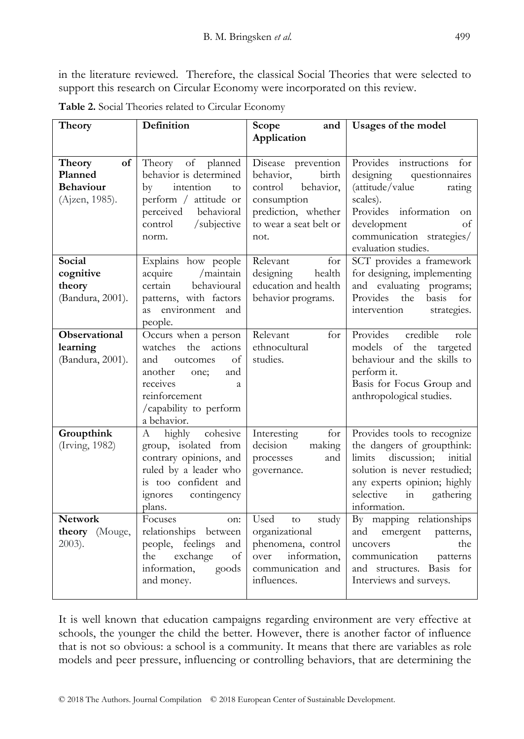in the literature reviewed. Therefore, the classical Social Theories that were selected to support this research on Circular Economy were incorporated on this review.

| Theory                                                        | Definition                                                                                                                                                                      | Scope<br>and<br>Application                                                                                                              | Usages of the model                                                                                                                                                                                            |
|---------------------------------------------------------------|---------------------------------------------------------------------------------------------------------------------------------------------------------------------------------|------------------------------------------------------------------------------------------------------------------------------------------|----------------------------------------------------------------------------------------------------------------------------------------------------------------------------------------------------------------|
|                                                               |                                                                                                                                                                                 |                                                                                                                                          |                                                                                                                                                                                                                |
| of<br>Theory<br>Planned<br><b>Behaviour</b><br>(Ajzen, 1985). | Theory of planned<br>behavior is determined<br>intention<br>$\mathbf{b}$ v<br>to<br>perform / attitude or<br>perceived<br>behavioral<br>/subjective<br>control<br>norm.         | Disease prevention<br>behavior,<br>birth<br>control<br>behavior,<br>consumption<br>prediction, whether<br>to wear a seat belt or<br>not. | Provides<br>instructions<br>for<br>designing<br>questionnaires<br>(attitude/value<br>rating<br>scales).<br>Provides information<br>on<br>development<br>of<br>communication strategies/<br>evaluation studies. |
| Social<br>cognitive<br>theory<br>(Bandura, 2001).             | Explains how people<br>/maintain<br>acquire<br>certain<br>behavioural<br>patterns, with factors<br>as environment and<br>people.                                                | Relevant<br>for<br>health<br>designing<br>education and health<br>behavior programs.                                                     | SCT provides a framework<br>for designing, implementing<br>and evaluating programs;<br>Provides the<br>basis<br>for<br>intervention<br>strategies.                                                             |
| Observational<br>learning<br>(Bandura, 2001).                 | Occurs when a person<br>the<br>actions<br>watches<br>and<br>of<br>outcomes<br>and<br>another<br>one;<br>receives<br>a<br>reinforcement<br>/capability to perform<br>a behavior. | Relevant<br>for<br>ethnocultural<br>studies.                                                                                             | Provides<br>credible<br>role<br>models of the targeted<br>behaviour and the skills to<br>perform it.<br>Basis for Focus Group and<br>anthropological studies.                                                  |
| Groupthink<br>(Irving, 1982)                                  | cohesive<br>highly<br>A<br>group, isolated from<br>contrary opinions, and<br>ruled by a leader who<br>is too confident and<br>ignores<br>contingency<br>plans.                  | Interesting<br>for<br>decision<br>making<br>and<br>processes<br>governance.                                                              | Provides tools to recognize<br>the dangers of groupthink:<br>discussion; initial<br>limits<br>solution is never restudied;<br>any experts opinion; highly<br>selective<br>gathering<br>in<br>information.      |
| <b>Network</b><br>theory (Mouge,<br>$2003$ ).                 | Focuses<br>on:<br>relationships between<br>people, feelings<br>and<br>exchange<br>of<br>the<br>information,<br>goods<br>and money.                                              | Used<br>study<br>to<br>organizational<br>phenomena, control<br>information,<br>over<br>communication and<br>influences.                  | By mapping relationships<br>emergent<br>and<br>patterns,<br>the<br>uncovers<br>communication<br>patterns<br>and structures. Basis<br>for<br>Interviews and surveys.                                            |

**Table 2.** Social Theories related to Circular Economy

It is well known that education campaigns regarding environment are very effective at schools, the younger the child the better. However, there is another factor of influence that is not so obvious: a school is a community. It means that there are variables as role models and peer pressure, influencing or controlling behaviors, that are determining the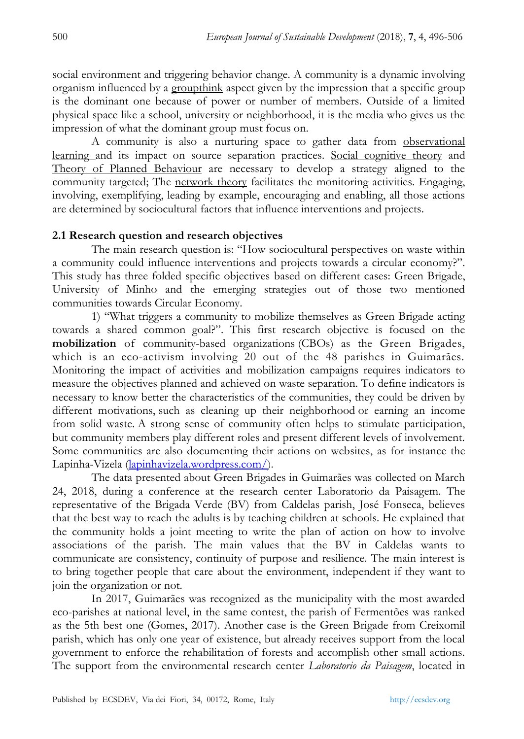social environment and triggering behavior change. A community is a dynamic involving organism influenced by a groupthink aspect given by the impression that a specific group is the dominant one because of power or number of members. Outside of a limited physical space like a school, university or neighborhood, it is the media who gives us the impression of what the dominant group must focus on.

A community is also a nurturing space to gather data from observational learning and its impact on source separation practices. Social cognitive theory and Theory of Planned Behaviour are necessary to develop a strategy aligned to the community targeted; The network theory facilitates the monitoring activities. Engaging, involving, exemplifying, leading by example, encouraging and enabling, all those actions are determined by sociocultural factors that influence interventions and projects.

#### **2.1 Research question and research objectives**

The main research question is: "How sociocultural perspectives on waste within a community could influence interventions and projects towards a circular economy?". This study has three folded specific objectives based on different cases: Green Brigade, University of Minho and the emerging strategies out of those two mentioned communities towards Circular Economy.

1) "What triggers a community to mobilize themselves as Green Brigade acting towards a shared common goal?". This first research objective is focused on the **mobilization** of community-based organizations (CBOs) as the Green Brigades, which is an eco-activism involving 20 out of the 48 parishes in Guimarães. Monitoring the impact of activities and mobilization campaigns requires indicators to measure the objectives planned and achieved on waste separation. To define indicators is necessary to know better the characteristics of the communities, they could be driven by different motivations, such as cleaning up their neighborhood or earning an income from solid waste. A strong sense of community often helps to stimulate participation, but community members play different roles and present different levels of involvement. Some communities are also documenting their actions on websites, as for instance the Lapinha-Vizela [\(lapinhavizela.wordpress.com/\)](https://lapinhavizela.wordpress.com/).

The data presented about Green Brigades in Guimarães was collected on March 24, 2018, during a conference at the research center Laboratorio da Paisagem. The representative of the Brigada Verde (BV) from Caldelas parish, José Fonseca, believes that the best way to reach the adults is by teaching children at schools. He explained that the community holds a joint meeting to write the plan of action on how to involve associations of the parish. The main values that the BV in Caldelas wants to communicate are consistency, continuity of purpose and resilience. The main interest is to bring together people that care about the environment, independent if they want to join the organization or not.

In 2017, Guimarães was recognized as the municipality with the most awarded eco-parishes at national level, in the same contest, the parish of Fermentões was ranked as the 5th best one (Gomes, 2017). Another case is the Green Brigade from Creixomil parish, which has only one year of existence, but already receives support from the local government to enforce the rehabilitation of forests and accomplish other small actions. The support from the environmental research center *Laboratorio da Paisagem*, located in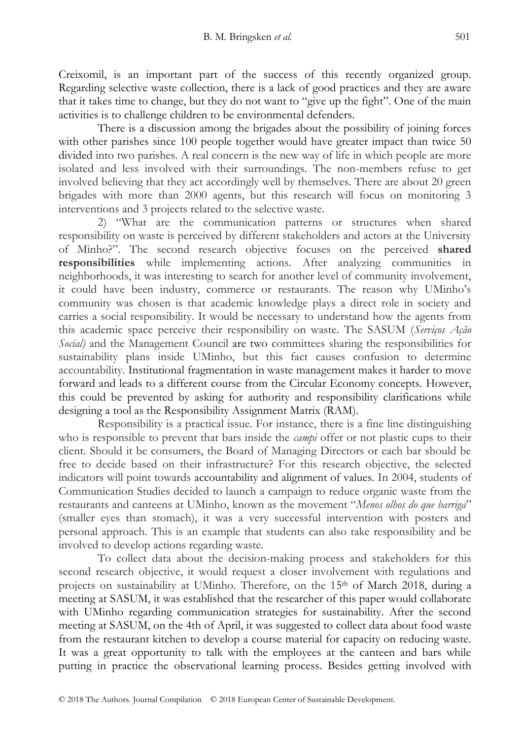Creixomil, is an important part of the success of this recently organized group. Regarding selective waste collection, there is a lack of good practices and they are aware that it takes time to change, but they do not want to "give up the fight". One of the main activities is to challenge children to be environmental defenders.

There is a discussion among the brigades about the possibility of joining forces with other parishes since 100 people together would have greater impact than twice 50 divided into two parishes. A real concern is the new way of life in which people are more isolated and less involved with their surroundings. The non-members refuse to get involved believing that they act accordingly well by themselves. There are about 20 green brigades with more than 2000 agents, but this research will focus on monitoring 3 interventions and 3 projects related to the selective waste.

2) "What are the communication patterns or structures when shared responsibility on waste is perceived by different stakeholders and actors at the University of Minho?‖. The second research objective focuses on the perceived **shared responsibilities** while implementing actions. After analyzing communities in neighborhoods, it was interesting to search for another level of community involvement, it could have been industry, commerce or restaurants. The reason why UMinho's community was chosen is that academic knowledge plays a direct role in society and carries a social responsibility. It would be necessary to understand how the agents from this academic space perceive their responsibility on waste. The SASUM (*Serviços Ação Social*) and the Management Council are two committees sharing the responsibilities for sustainability plans inside UMinho, but this fact causes confusion to determine accountability. Institutional fragmentation in waste management makes it harder to move forward and leads to a different course from the Circular Economy concepts. However, this could be prevented by asking for authority and responsibility clarifications while designing a tool as the Responsibility Assignment Matrix (RAM).

Responsibility is a practical issue. For instance, there is a fine line distinguishing who is responsible to prevent that bars inside the *campi* offer or not plastic cups to their client. Should it be consumers, the Board of Managing Directors or each bar should be free to decide based on their infrastructure? For this research objective, the selected indicators will point towards accountability and alignment of values. In 2004, students of Communication Studies decided to launch a campaign to reduce organic waste from the restaurants and canteens at UMinho, known as the movement "Menos olhos do que barriga" (smaller eyes than stomach), it was a very successful intervention with posters and personal approach. This is an example that students can also take responsibility and be involved to develop actions regarding waste.

To collect data about the decision-making process and stakeholders for this second research objective, it would request a closer involvement with regulations and projects on sustainability at UMinho. Therefore, on the 15<sup>th</sup> of March 2018, during a meeting at SASUM, it was established that the researcher of this paper would collaborate with UMinho regarding communication strategies for sustainability. After the second meeting at SASUM, on the 4th of April, it was suggested to collect data about food waste from the restaurant kitchen to develop a course material for capacity on reducing waste. It was a great opportunity to talk with the employees at the canteen and bars while putting in practice the observational learning process. Besides getting involved with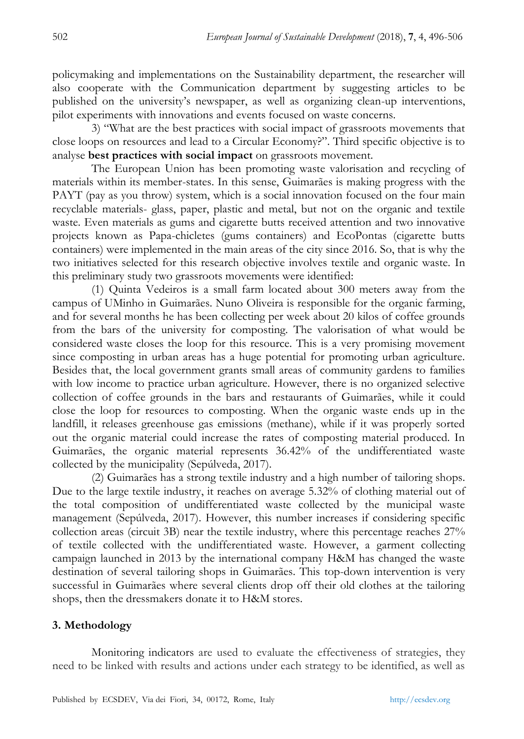policymaking and implementations on the Sustainability department, the researcher will also cooperate with the Communication department by suggesting articles to be published on the university's newspaper, as well as organizing clean-up interventions, pilot experiments with innovations and events focused on waste concerns.

3) "What are the best practices with social impact of grassroots movements that close loops on resources and lead to a Circular Economy?". Third specific objective is to analyse **best practices with social impact** on grassroots movement.

The European Union has been promoting waste valorisation and recycling of materials within its member-states. In this sense, Guimarães is making progress with the PAYT (pay as you throw) system, which is a social innovation focused on the four main recyclable materials- glass, paper, plastic and metal, but not on the organic and textile waste. Even materials as gums and cigarette butts received attention and two innovative projects known as Papa-chicletes (gums containers) and EcoPontas (cigarette butts containers) were implemented in the main areas of the city since 2016. So, that is why the two initiatives selected for this research objective involves textile and organic waste. In this preliminary study two grassroots movements were identified:

(1) Quinta Vedeiros is a small farm located about 300 meters away from the campus of UMinho in Guimarães. Nuno Oliveira is responsible for the organic farming, and for several months he has been collecting per week about 20 kilos of coffee grounds from the bars of the university for composting. The valorisation of what would be considered waste closes the loop for this resource. This is a very promising movement since composting in urban areas has a huge potential for promoting urban agriculture. Besides that, the local government grants small areas of community gardens to families with low income to practice urban agriculture. However, there is no organized selective collection of coffee grounds in the bars and restaurants of Guimarães, while it could close the loop for resources to composting. When the organic waste ends up in the landfill, it releases greenhouse gas emissions (methane), while if it was properly sorted out the organic material could increase the rates of composting material produced. In Guimarães, the organic material represents 36.42% of the undifferentiated waste collected by the municipality (Sepúlveda, 2017).

(2) Guimarães has a strong textile industry and a high number of tailoring shops. Due to the large textile industry, it reaches on average 5.32% of clothing material out of the total composition of undifferentiated waste collected by the municipal waste management (Sepúlveda, 2017). However, this number increases if considering specific collection areas (circuit 3B) near the textile industry, where this percentage reaches 27% of textile collected with the undifferentiated waste. However, a garment collecting campaign launched in 2013 by the international company H&M has changed the waste destination of several tailoring shops in Guimarães. This top-down intervention is very successful in Guimarães where several clients drop off their old clothes at the tailoring shops, then the dressmakers donate it to H&M stores.

## **3. Methodology**

Monitoring indicators are used to evaluate the effectiveness of strategies, they need to be linked with results and actions under each strategy to be identified, as well as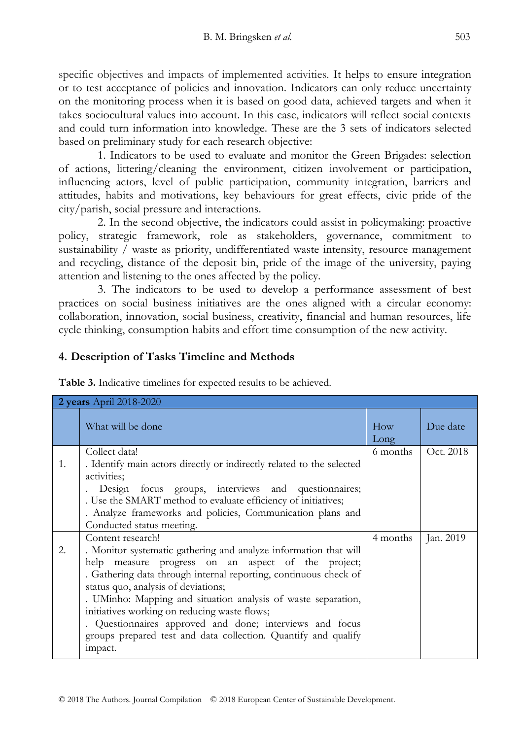specific objectives and impacts of implemented activities. It helps to ensure integration or to test acceptance of policies and innovation. Indicators can only reduce uncertainty on the monitoring process when it is based on good data, achieved targets and when it takes sociocultural values into account. In this case, indicators will reflect social contexts and could turn information into knowledge. These are the 3 sets of indicators selected based on preliminary study for each research objective:

1. Indicators to be used to evaluate and monitor the Green Brigades: selection of actions, littering/cleaning the environment, citizen involvement or participation, influencing actors, level of public participation, community integration, barriers and attitudes, habits and motivations, key behaviours for great effects, civic pride of the city/parish, social pressure and interactions.

2. In the second objective, the indicators could assist in policymaking: proactive policy, strategic framework, role as stakeholders, governance, commitment to sustainability / waste as priority, undifferentiated waste intensity, resource management and recycling, distance of the deposit bin, pride of the image of the university, paying attention and listening to the ones affected by the policy.

3. The indicators to be used to develop a performance assessment of best practices on social business initiatives are the ones aligned with a circular economy: collaboration, innovation, social business, creativity, financial and human resources, life cycle thinking, consumption habits and effort time consumption of the new activity.

## **4. Description of Tasks Timeline and Methods**

| 2 years April 2018-2020 |                                                                                                                                                                                                                                                                                                                                                                                                                                                                                                                     |             |           |
|-------------------------|---------------------------------------------------------------------------------------------------------------------------------------------------------------------------------------------------------------------------------------------------------------------------------------------------------------------------------------------------------------------------------------------------------------------------------------------------------------------------------------------------------------------|-------------|-----------|
|                         | What will be done                                                                                                                                                                                                                                                                                                                                                                                                                                                                                                   | How<br>Long | Due date  |
| 1.                      | Collect data!<br>. Identify main actors directly or indirectly related to the selected<br>activities:<br>Design focus groups, interviews and questionnaires;<br>. Use the SMART method to evaluate efficiency of initiatives;<br>. Analyze frameworks and policies, Communication plans and<br>Conducted status meeting.                                                                                                                                                                                            | 6 months    | Oct. 2018 |
| 2.                      | Content research!<br>. Monitor systematic gathering and analyze information that will<br>measure progress on an aspect of the project;<br>help<br>. Gathering data through internal reporting, continuous check of<br>status quo, analysis of deviations;<br>. UMinho: Mapping and situation analysis of waste separation,<br>initiatives working on reducing waste flows;<br>. Questionnaires approved and done; interviews and focus<br>groups prepared test and data collection. Quantify and qualify<br>impact. | 4 months    | Jan. 2019 |

**Table 3.** Indicative timelines for expected results to be achieved.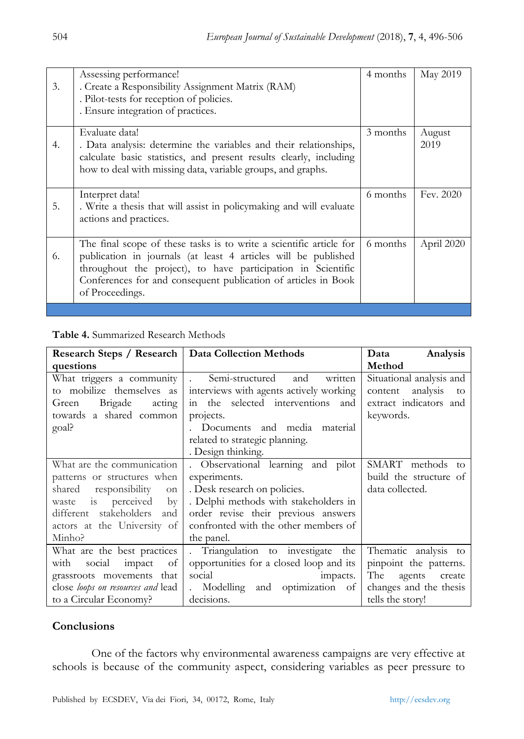| 3. | Assessing performance!<br>. Create a Responsibility Assignment Matrix (RAM)<br>. Pilot-tests for reception of policies.<br>. Ensure integration of practices.                                                                                                                              | 4 months | May 2019       |
|----|--------------------------------------------------------------------------------------------------------------------------------------------------------------------------------------------------------------------------------------------------------------------------------------------|----------|----------------|
| 4. | Evaluate data!<br>. Data analysis: determine the variables and their relationships,<br>calculate basic statistics, and present results clearly, including<br>how to deal with missing data, variable groups, and graphs.                                                                   | 3 months | August<br>2019 |
| 5. | Interpret data!<br>. Write a thesis that will assist in policymaking and will evaluate<br>actions and practices.                                                                                                                                                                           | 6 months | Fev. 2020      |
| 6. | The final scope of these tasks is to write a scientific article for<br>publication in journals (at least 4 articles will be published<br>throughout the project), to have participation in Scientific<br>Conferences for and consequent publication of articles in Book<br>of Proceedings. | 6 months | April 2020     |
|    |                                                                                                                                                                                                                                                                                            |          |                |

**Table 4.** Summarized Research Methods

| Research Steps / Research   Data Collection Methods |                                                   | Data<br>Analysis          |
|-----------------------------------------------------|---------------------------------------------------|---------------------------|
| questions                                           |                                                   | Method                    |
| What triggers a community                           | Semi-structured<br>and<br>written<br>$\mathbf{L}$ | Situational analysis and  |
| to mobilize themselves as                           | interviews with agents actively working           | analysis<br>content<br>to |
| Brigade<br>acting<br>Green                          | in the selected interventions<br>and              | extract indicators and    |
| towards a shared common                             | projects.                                         | keywords.                 |
| goal?                                               | . Documents and media material                    |                           |
|                                                     | related to strategic planning.                    |                           |
|                                                     | . Design thinking.                                |                           |
| What are the communication                          | . Observational learning and pilot                | SMART methods to          |
| patterns or structures when                         | experiments.                                      | build the structure of    |
| shared<br>responsibility<br>on                      | . Desk research on policies.                      | data collected.           |
| waste is perceived<br>$\mathbf{b}$                  | . Delphi methods with stakeholders in             |                           |
| different stakeholders<br>and                       | order revise their previous answers               |                           |
| actors at the University of                         | confronted with the other members of              |                           |
| Minho?                                              | the panel.                                        |                           |
| What are the best practices                         | . Triangulation to investigate<br>the             | Thematic analysis to      |
| with<br>social<br>impact<br>of                      | opportunities for a closed loop and its           | pinpoint the patterns.    |
| grassroots movements that                           | social<br>impacts.                                | The<br>agents<br>create   |
| close loops on resources and lead                   | . Modelling and optimization of                   | changes and the thesis    |
| to a Circular Economy?                              | decisions.                                        | tells the story!          |

# **Conclusions**

One of the factors why environmental awareness campaigns are very effective at schools is because of the community aspect, considering variables as peer pressure to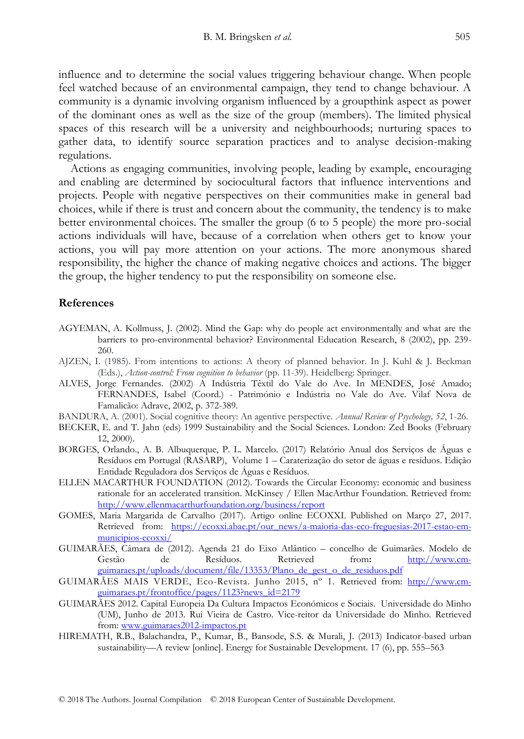influence and to determine the social values triggering behaviour change. When people feel watched because of an environmental campaign, they tend to change behaviour. A community is a dynamic involving organism influenced by a groupthink aspect as power of the dominant ones as well as the size of the group (members). The limited physical spaces of this research will be a university and neighbourhoods; nurturing spaces to gather data, to identify source separation practices and to analyse decision-making regulations.

 Actions as engaging communities, involving people, leading by example, encouraging and enabling are determined by sociocultural factors that influence interventions and projects. People with negative perspectives on their communities make in general bad choices, while if there is trust and concern about the community, the tendency is to make better environmental choices. The smaller the group (6 to 5 people) the more pro-social actions individuals will have, because of a correlation when others get to know your actions, you will pay more attention on your actions. The more anonymous shared responsibility, the higher the chance of making negative choices and actions. The bigger the group, the higher tendency to put the responsibility on someone else.

#### **References**

- AGYEMAN, A. Kollmuss, J. (2002). Mind the Gap: why do people act environmentally and what are the barriers to pro-environmental behavior? Environmental Education Research, 8 (2002), pp. 239- 260.
- AJZEN, I. (1985). From intentions to actions: A theory of planned behavior. In J. Kuhl & J. Beckman (Eds.), *Action-control: From cognition to behavior* (pp. 11-39). Heidelberg: Springer.
- ALVES, Jorge Fernandes. (2002) A Indústria Têxtil do Vale do Ave. In MENDES, José Amado; FERNANDES, Isabel (Coord.) - Património e Indústria no Vale do Ave. Vilaf Nova de Famalicão: Adrave, 2002, p. 372-389.
- BANDURA, A. (2001). Social cognitive theory: An agentive perspective. *Annual Review of Psychology, 52*, 1-26.
- BECKER, E. and T. Jahn (eds) 1999 Sustainability and the Social Sciences. London: Zed Books (February 12, 2000).
- BORGES, Orlando., A. B. Albuquerque, P. L. Marcelo. (2017) Relatório Anual dos Serviços de Águas e Resíduos em Portugal (RASARP), Volume 1 – Caraterização do setor de águas e resíduos. Edição Entidade Reguladora dos Serviços de Águas e Resíduos.
- ELLEN MACARTHUR FOUNDATION (2012). Towards the Circular Economy: economic and business rationale for an accelerated transition. McKinsey / Ellen MacArthur Foundation. Retrieved from: <http://www.ellenmacarthurfoundation.org/business/report>
- GOMES, Maria Margarida de Carvalho (2017). Artigo online ECOXXI. Published on Março 27, 2017. Retrieved from: [https://ecoxxi.abae.pt/our\\_news/a-maioria-das-eco-freguesias-2017-estao-em](https://ecoxxi.abae.pt/our_news/a-maioria-das-eco-freguesias-2017-estao-em-municipios-ecoxxi/)[municipios-ecoxxi/](https://ecoxxi.abae.pt/our_news/a-maioria-das-eco-freguesias-2017-estao-em-municipios-ecoxxi/)
- GUIMARÃES, Câmara de (2012). Agenda 21 do Eixo Atlântico concelho de Guimarães. Modelo de Gestão de Resíduos. Retrieved from**:** [http://www.cm](http://www.cm-guimaraes.pt/uploads/document/file/13353/Plano_de_gest_o_de_residuos.pdf)[guimaraes.pt/uploads/document/file/13353/Plano\\_de\\_gest\\_o\\_de\\_residuos.pdf](http://www.cm-guimaraes.pt/uploads/document/file/13353/Plano_de_gest_o_de_residuos.pdf)
- GUIMARÃES MAIS VERDE, Eco-Revista. Junho 2015, nº 1. Retrieved from: [http://www.cm](http://www.cm-guimaraes.pt/frontoffice/pages/1123?news_id=2179)[guimaraes.pt/frontoffice/pages/1123?news\\_id=2179](http://www.cm-guimaraes.pt/frontoffice/pages/1123?news_id=2179)
- GUIMARÃES 2012. Capital Europeia Da Cultura Impactos Económicos e Sociais. Universidade do Minho (UM), Junho de 2013. Rui Vieira de Castro. Vice-reitor da Universidade do Minho. Retrieved from[: www.guimaraes2012-impactos.pt](http://www.guimaraes2012-impactos.pt/)
- HIREMATH, R.B., Balachandra, P., Kumar, B., Bansode, S.S. & Murali, J. (2013) Indicator-based urban sustainability—A review [online]. Energy for Sustainable Development. 17 (6), pp. 555–563